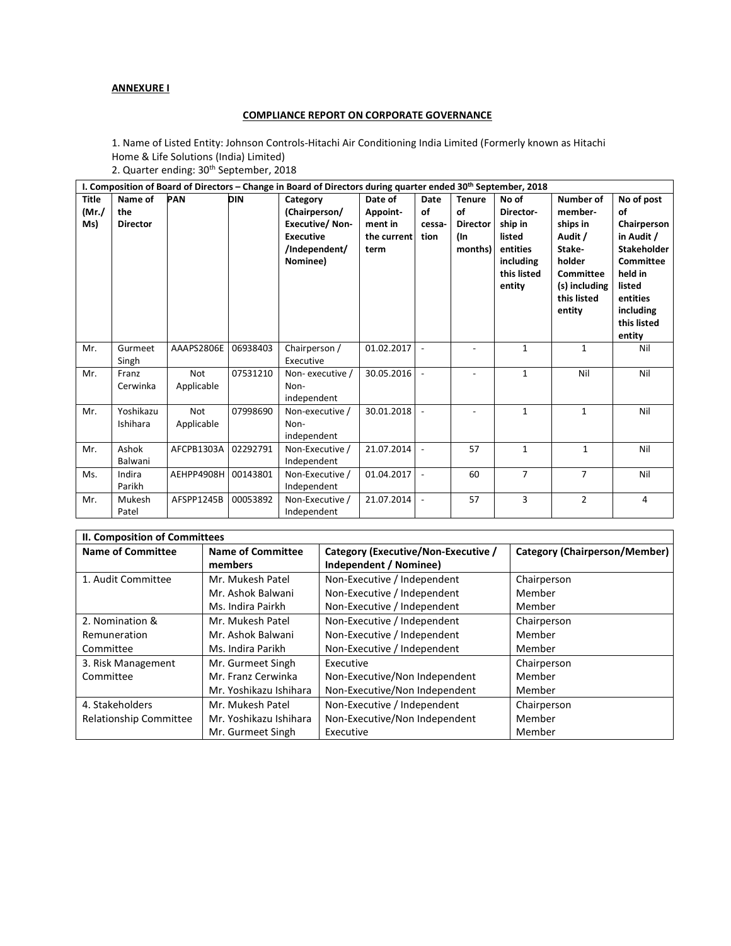# **ANNEXURE I**

## **COMPLIANCE REPORT ON CORPORATE GOVERNANCE**

1. Name of Listed Entity: Johnson Controls-Hitachi Air Conditioning India Limited (Formerly known as Hitachi Home & Life Solutions (India) Limited)

2. Quarter ending: 30th September, 2018

| I. Composition of Board of Directors - Change in Board of Directors during quarter ended 30th September, 2018 |                                   |                          |            |                                                                                                     |                                                       |                              |                                                          |                                                                                           |                                                                                                                        |                                                                                                                                                         |
|---------------------------------------------------------------------------------------------------------------|-----------------------------------|--------------------------|------------|-----------------------------------------------------------------------------------------------------|-------------------------------------------------------|------------------------------|----------------------------------------------------------|-------------------------------------------------------------------------------------------|------------------------------------------------------------------------------------------------------------------------|---------------------------------------------------------------------------------------------------------------------------------------------------------|
| <b>Title</b><br>(Mr./<br>Ms)                                                                                  | Name of<br>the<br><b>Director</b> | <b>PAN</b>               | <b>DIN</b> | Category<br>(Chairperson/<br><b>Executive/Non-</b><br><b>Executive</b><br>/Independent/<br>Nominee) | Date of<br>Appoint-<br>ment in<br>the current<br>term | Date<br>of<br>cessa-<br>tion | <b>Tenure</b><br>of<br><b>Director</b><br>(In<br>months) | No of<br>Director-<br>ship in<br>listed<br>entities<br>including<br>this listed<br>entity | Number of<br>member-<br>ships in<br>Audit /<br>Stake-<br>holder<br>Committee<br>(s) including<br>this listed<br>entity | No of post<br>of<br>Chairperson<br>in Audit /<br><b>Stakeholder</b><br>Committee<br>held in<br>listed<br>entities<br>including<br>this listed<br>entity |
| Mr.                                                                                                           | Gurmeet<br>Singh                  | AAAPS2806E               | 06938403   | Chairperson /<br>Executive                                                                          | 01.02.2017                                            | $\blacksquare$               | $\overline{\phantom{a}}$                                 | 1                                                                                         | $\mathbf{1}$                                                                                                           | Nil                                                                                                                                                     |
| Mr.                                                                                                           | Franz<br>Cerwinka                 | Not<br>Applicable        | 07531210   | Non-executive /<br>Non-<br>independent                                                              | 30.05.2016                                            | $\blacksquare$               |                                                          | $\mathbf{1}$                                                                              | Nil                                                                                                                    | Nil                                                                                                                                                     |
| Mr.                                                                                                           | Yoshikazu<br>Ishihara             | <b>Not</b><br>Applicable | 07998690   | Non-executive /<br>Non-<br>independent                                                              | 30.01.2018                                            |                              |                                                          | $\mathbf{1}$                                                                              | $\mathbf{1}$                                                                                                           | Nil                                                                                                                                                     |
| Mr.                                                                                                           | Ashok<br>Balwani                  | AFCPB1303A               | 02292791   | Non-Executive /<br>Independent                                                                      | 21.07.2014                                            | $\overline{\phantom{a}}$     | 57                                                       | $\mathbf{1}$                                                                              | $\mathbf{1}$                                                                                                           | Nil                                                                                                                                                     |
| Ms.                                                                                                           | Indira<br>Parikh                  | AEHPP4908H               | 00143801   | Non-Executive /<br>Independent                                                                      | 01.04.2017                                            | $\overline{\phantom{a}}$     | 60                                                       | $\overline{7}$                                                                            | $\overline{7}$                                                                                                         | Nil                                                                                                                                                     |
| Mr.                                                                                                           | Mukesh<br>Patel                   | AFSPP1245B               | 00053892   | Non-Executive /<br>Independent                                                                      | 21.07.2014                                            | $\blacksquare$               | 57                                                       | 3                                                                                         | $\overline{2}$                                                                                                         | 4                                                                                                                                                       |

| II. Composition of Committees |                          |                                     |                                      |  |  |  |
|-------------------------------|--------------------------|-------------------------------------|--------------------------------------|--|--|--|
| <b>Name of Committee</b>      | <b>Name of Committee</b> | Category (Executive/Non-Executive / | <b>Category (Chairperson/Member)</b> |  |  |  |
|                               | members                  | Independent / Nominee)              |                                      |  |  |  |
| 1. Audit Committee            | Mr. Mukesh Patel         | Non-Executive / Independent         | Chairperson                          |  |  |  |
|                               | Mr. Ashok Balwani        | Non-Executive / Independent         | Member                               |  |  |  |
|                               | Ms. Indira Pairkh        | Non-Executive / Independent         | Member                               |  |  |  |
| 2. Nomination &               | Mr. Mukesh Patel         | Non-Executive / Independent         | Chairperson                          |  |  |  |
| Remuneration                  | Mr. Ashok Balwani        | Non-Executive / Independent         | Member                               |  |  |  |
| Committee                     | Ms. Indira Parikh        | Non-Executive / Independent         | Member                               |  |  |  |
| 3. Risk Management            | Mr. Gurmeet Singh        | Executive                           | Chairperson                          |  |  |  |
| Committee                     | Mr. Franz Cerwinka       | Non-Executive/Non Independent       | Member                               |  |  |  |
|                               | Mr. Yoshikazu Ishihara   | Non-Executive/Non Independent       | Member                               |  |  |  |
| 4. Stakeholders               | Mr. Mukesh Patel         | Non-Executive / Independent         | Chairperson                          |  |  |  |
| Relationship Committee        | Mr. Yoshikazu Ishihara   | Non-Executive/Non Independent       | Member                               |  |  |  |
|                               | Mr. Gurmeet Singh        | Executive                           | Member                               |  |  |  |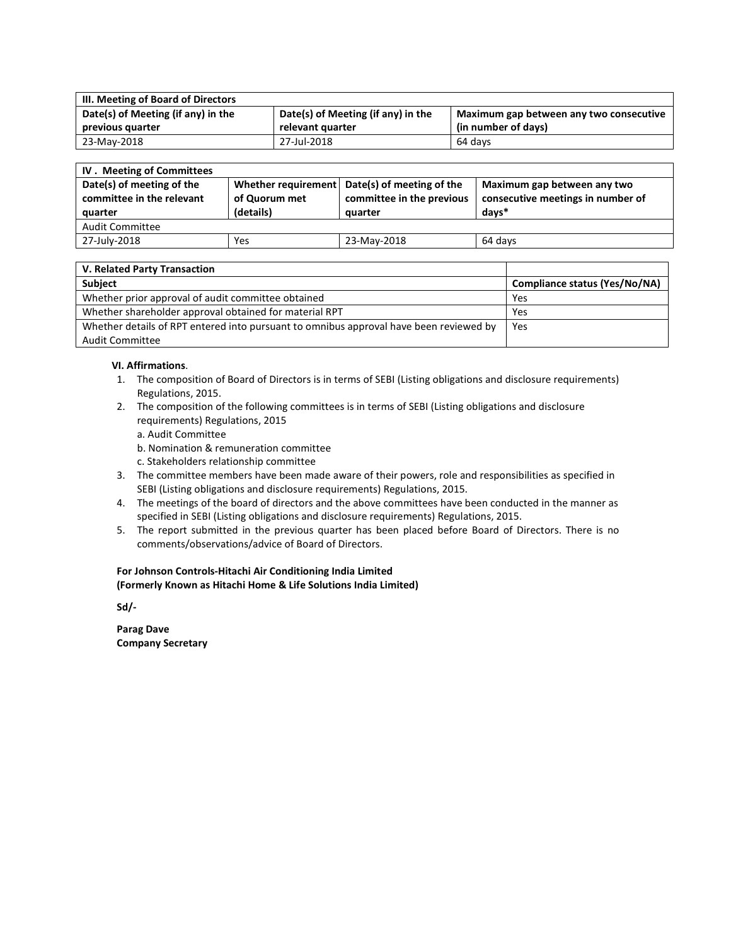| III. Meeting of Board of Directors |                                    |                                         |  |  |  |
|------------------------------------|------------------------------------|-----------------------------------------|--|--|--|
| Date(s) of Meeting (if any) in the | Date(s) of Meeting (if any) in the | Maximum gap between any two consecutive |  |  |  |
| previous quarter                   | relevant quarter                   | (in number of days)                     |  |  |  |
| 23-May-2018                        | 27-Jul-2018                        | 64 davs                                 |  |  |  |

| IV. Meeting of Committees                                         |                            |                                                                                       |                                                                           |  |  |
|-------------------------------------------------------------------|----------------------------|---------------------------------------------------------------------------------------|---------------------------------------------------------------------------|--|--|
| Date(s) of meeting of the<br>committee in the relevant<br>quarter | of Quorum met<br>(details) | Whether requirement Date(s) of meeting of the<br>committee in the previous<br>quarter | Maximum gap between any two<br>consecutive meetings in number of<br>days* |  |  |
| <b>Audit Committee</b>                                            |                            |                                                                                       |                                                                           |  |  |
| 27-July-2018                                                      | Yes                        | 23-May-2018                                                                           | 64 days                                                                   |  |  |

| V. Related Party Transaction                                                           |                               |
|----------------------------------------------------------------------------------------|-------------------------------|
| <b>Subject</b>                                                                         | Compliance status (Yes/No/NA) |
| Whether prior approval of audit committee obtained                                     | Yes                           |
| Whether shareholder approval obtained for material RPT                                 | Yes                           |
| Whether details of RPT entered into pursuant to omnibus approval have been reviewed by | Yes                           |
| <b>Audit Committee</b>                                                                 |                               |

## **VI. Affirmations**.

- 1. The composition of Board of Directors is in terms of SEBI (Listing obligations and disclosure requirements) Regulations, 2015.
- 2. The composition of the following committees is in terms of SEBI (Listing obligations and disclosure requirements) Regulations, 2015
	- a. Audit Committee
	- b. Nomination & remuneration committee
	- c. Stakeholders relationship committee
- 3. The committee members have been made aware of their powers, role and responsibilities as specified in SEBI (Listing obligations and disclosure requirements) Regulations, 2015.
- 4. The meetings of the board of directors and the above committees have been conducted in the manner as specified in SEBI (Listing obligations and disclosure requirements) Regulations, 2015.
- 5. The report submitted in the previous quarter has been placed before Board of Directors. There is no comments/observations/advice of Board of Directors.

## **For Johnson Controls-Hitachi Air Conditioning India Limited (Formerly Known as Hitachi Home & Life Solutions India Limited)**

**Sd/-** 

**Parag Dave Company Secretary**